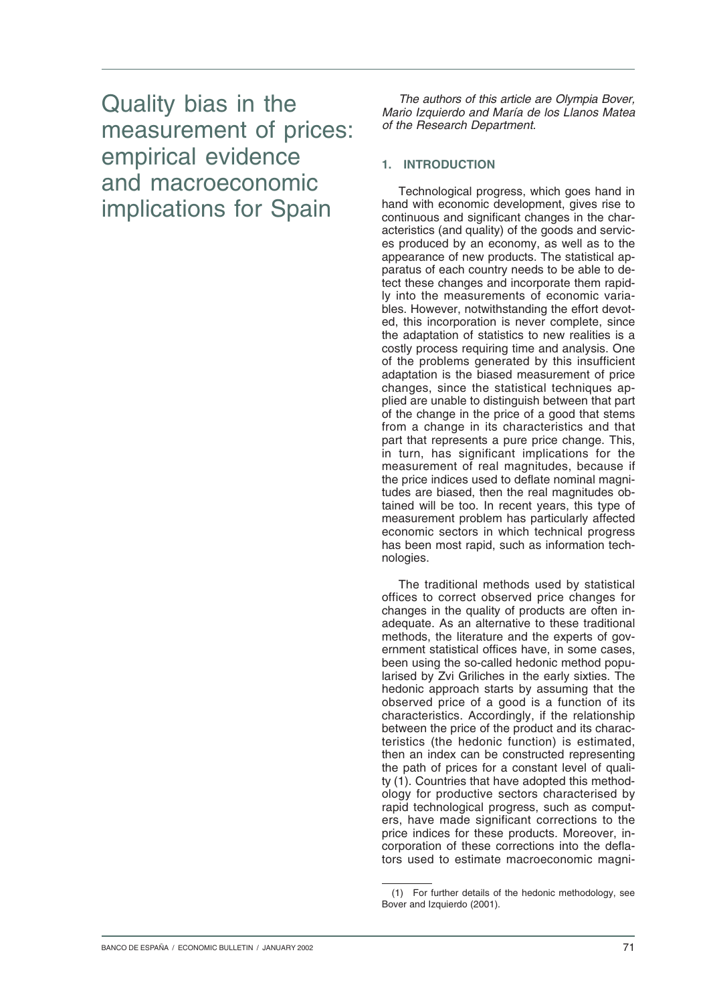Quality bias in the measurement of prices: empirical evidence and macroeconomic implications for Spain

The authors of this article are Olympia Bover, Mario Izquierdo and María de los Llanos Matea of the Research Department.

# **1. INTRODUCTION**

Technological progress, which goes hand in hand with economic development, gives rise to continuous and significant changes in the characteristics (and quality) of the goods and services produced by an economy, as well as to the appearance of new products. The statistical apparatus of each country needs to be able to detect these changes and incorporate them rapidly into the measurements of economic variables. However, notwithstanding the effort devoted, this incorporation is never complete, since the adaptation of statistics to new realities is a costly process requiring time and analysis. One of the problems generated by this insufficient adaptation is the biased measurement of price changes, since the statistical techniques applied are unable to distinguish between that part of the change in the price of a good that stems from a change in its characteristics and that part that represents a pure price change. This, in turn, has significant implications for the measurement of real magnitudes, because if the price indices used to deflate nominal magnitudes are biased, then the real magnitudes obtained will be too. In recent years, this type of measurement problem has particularly affected economic sectors in which technical progress has been most rapid, such as information technologies.

The traditional methods used by statistical offices to correct observed price changes for changes in the quality of products are often inadequate. As an alternative to these traditional methods, the literature and the experts of government statistical offices have, in some cases, been using the so-called hedonic method popularised by Zvi Griliches in the early sixties. The hedonic approach starts by assuming that the observed price of a good is a function of its characteristics. Accordingly, if the relationship between the price of the product and its characteristics (the hedonic function) is estimated, then an index can be constructed representing the path of prices for a constant level of quality (1). Countries that have adopted this methodology for productive sectors characterised by rapid technological progress, such as computers, have made significant corrections to the price indices for these products. Moreover, incorporation of these corrections into the deflators used to estimate macroeconomic magni-

<sup>(1)</sup> For further details of the hedonic methodology, see Bover and Izquierdo (2001).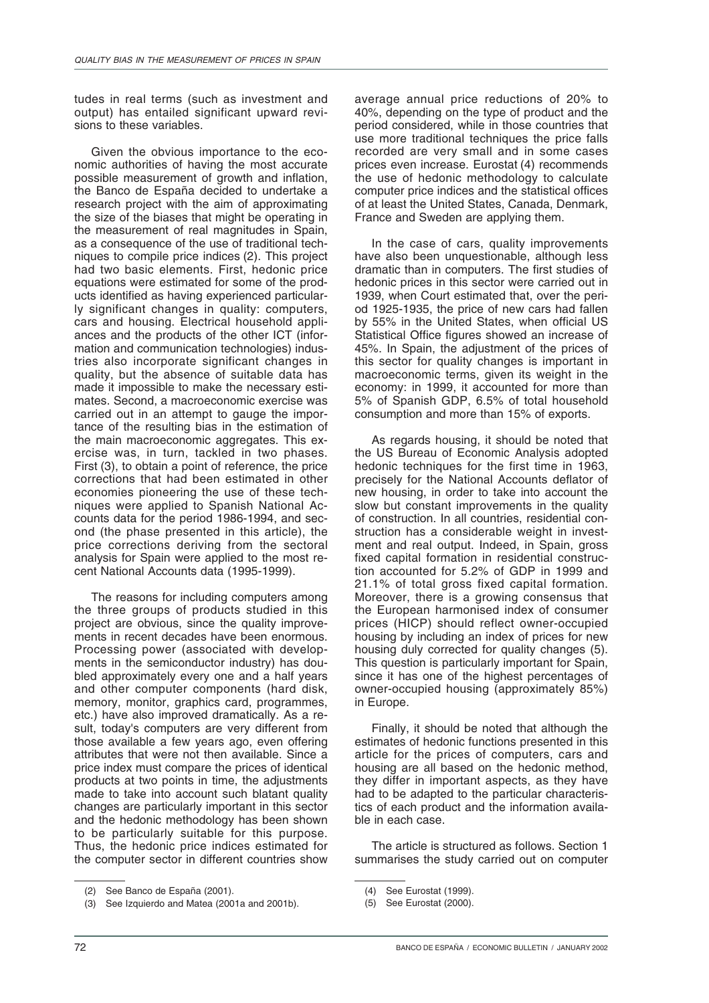tudes in real terms (such as investment and output) has entailed significant upward revisions to these variables.

Given the obvious importance to the economic authorities of having the most accurate possible measurement of growth and inflation, the Banco de España decided to undertake a research project with the aim of approximating the size of the biases that might be operating in the measurement of real magnitudes in Spain, as a consequence of the use of traditional techniques to compile price indices (2). This project had two basic elements. First, hedonic price equations were estimated for some of the products identified as having experienced particularly significant changes in quality: computers, cars and housing. Electrical household appliances and the products of the other ICT (information and communication technologies) industries also incorporate significant changes in quality, but the absence of suitable data has made it impossible to make the necessary estimates. Second, a macroeconomic exercise was carried out in an attempt to gauge the importance of the resulting bias in the estimation of the main macroeconomic aggregates. This exercise was, in turn, tackled in two phases. First (3), to obtain a point of reference, the price corrections that had been estimated in other economies pioneering the use of these techniques were applied to Spanish National Accounts data for the period 1986-1994, and second (the phase presented in this article), the price corrections deriving from the sectoral analysis for Spain were applied to the most recent National Accounts data (1995-1999).

The reasons for including computers among the three groups of products studied in this project are obvious, since the quality improvements in recent decades have been enormous. Processing power (associated with developments in the semiconductor industry) has doubled approximately every one and a half years and other computer components (hard disk, memory, monitor, graphics card, programmes, etc.) have also improved dramatically. As a result, today's computers are very different from those available a few years ago, even offering attributes that were not then available. Since a price index must compare the prices of identical products at two points in time, the adjustments made to take into account such blatant quality changes are particularly important in this sector and the hedonic methodology has been shown to be particularly suitable for this purpose. Thus, the hedonic price indices estimated for the computer sector in different countries show

average annual price reductions of 20% to 40%, depending on the type of product and the period considered, while in those countries that use more traditional techniques the price falls recorded are very small and in some cases prices even increase. Eurostat (4) recommends the use of hedonic methodology to calculate computer price indices and the statistical offices of at least the United States, Canada, Denmark, France and Sweden are applying them.

In the case of cars, quality improvements have also been unquestionable, although less dramatic than in computers. The first studies of hedonic prices in this sector were carried out in 1939, when Court estimated that, over the period 1925-1935, the price of new cars had fallen by 55% in the United States, when official US Statistical Office figures showed an increase of 45%. In Spain, the adjustment of the prices of this sector for quality changes is important in macroeconomic terms, given its weight in the economy: in 1999, it accounted for more than 5% of Spanish GDP, 6.5% of total household consumption and more than 15% of exports.

As regards housing, it should be noted that the US Bureau of Economic Analysis adopted hedonic techniques for the first time in 1963, precisely for the National Accounts deflator of new housing, in order to take into account the slow but constant improvements in the quality of construction. In all countries, residential construction has a considerable weight in investment and real output. Indeed, in Spain, gross fixed capital formation in residential construction accounted for 5.2% of GDP in 1999 and 21.1% of total gross fixed capital formation. Moreover, there is a growing consensus that the European harmonised index of consumer prices (HICP) should reflect owner-occupied housing by including an index of prices for new housing duly corrected for quality changes (5). This question is particularly important for Spain, since it has one of the highest percentages of owner-occupied housing (approximately 85%) in Europe.

Finally, it should be noted that although the estimates of hedonic functions presented in this article for the prices of computers, cars and housing are all based on the hedonic method, they differ in important aspects, as they have had to be adapted to the particular characteristics of each product and the information available in each case.

The article is structured as follows. Section 1 summarises the study carried out on computer

<sup>(2)</sup> See Banco de España (2001).

<sup>(3)</sup> See Izquierdo and Matea (2001a and 2001b).

<sup>(4)</sup> See Eurostat (1999).

<sup>(5)</sup> See Eurostat (2000).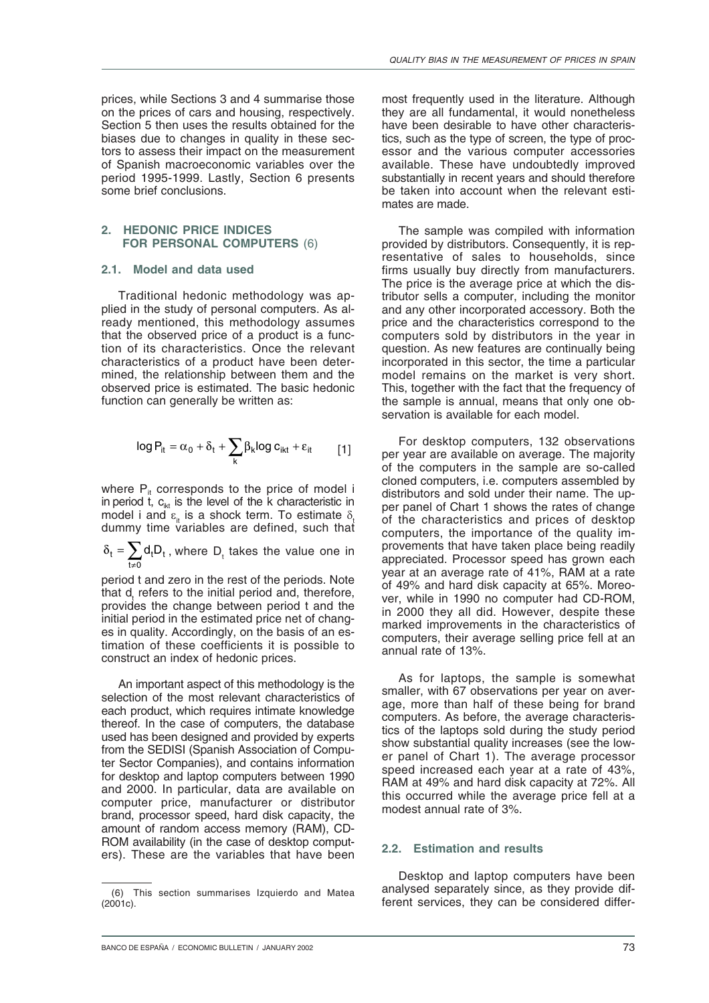prices, while Sections 3 and 4 summarise those on the prices of cars and housing, respectively. Section 5 then uses the results obtained for the biases due to changes in quality in these sectors to assess their impact on the measurement of Spanish macroeconomic variables over the period 1995-1999. Lastly, Section 6 presents some brief conclusions.

## **2. HEDONIC PRICE INDICES FOR PERSONAL COMPUTERS** (6)

#### **2.1. Model and data used**

Traditional hedonic methodology was applied in the study of personal computers. As already mentioned, this methodology assumes that the observed price of a product is a function of its characteristics. Once the relevant characteristics of a product have been determined, the relationship between them and the observed price is estimated. The basic hedonic function can generally be written as:

$$
\text{log}\,P_{it} = \alpha_0 + \delta_t + \sum_k \beta_k \text{log}\,c_{ikt} + \epsilon_{it} \qquad \quad [1]
$$

where  $P_{it}$  corresponds to the price of model i in period t,  $c_{ikt}$  is the level of the  $k$  characteristic in model i and  $\varepsilon_{\text{it}}$  is a shock term. To estimate  $\delta_{\text{t}}$ dummy time variables are defined, such that

t  $t = \sum_{t \neq 0} d_t D_t$  $\delta_t = \sum_{t\neq 0} d_t D_t$ , where  $D_t$  takes the value one in

period t and zero in the rest of the periods. Note that  $d_t$  refers to the initial period and, therefore, provides the change between period t and the initial period in the estimated price net of changes in quality. Accordingly, on the basis of an estimation of these coefficients it is possible to construct an index of hedonic prices.

An important aspect of this methodology is the selection of the most relevant characteristics of each product, which requires intimate knowledge thereof. In the case of computers, the database used has been designed and provided by experts from the SEDISI (Spanish Association of Computer Sector Companies), and contains information for desktop and laptop computers between 1990 and 2000. In particular, data are available on computer price, manufacturer or distributor brand, processor speed, hard disk capacity, the amount of random access memory (RAM), CD-ROM availability (in the case of desktop computers). These are the variables that have been

most frequently used in the literature. Although they are all fundamental, it would nonetheless have been desirable to have other characteristics, such as the type of screen, the type of processor and the various computer accessories available. These have undoubtedly improved substantially in recent years and should therefore be taken into account when the relevant estimates are made.

The sample was compiled with information provided by distributors. Consequently, it is representative of sales to households, since firms usually buy directly from manufacturers. The price is the average price at which the distributor sells a computer, including the monitor and any other incorporated accessory. Both the price and the characteristics correspond to the computers sold by distributors in the year in question. As new features are continually being incorporated in this sector, the time a particular model remains on the market is very short. This, together with the fact that the frequency of the sample is annual, means that only one observation is available for each model.

For desktop computers, 132 observations per year are available on average. The majority of the computers in the sample are so-called cloned computers, i.e. computers assembled by distributors and sold under their name. The upper panel of Chart 1 shows the rates of change of the characteristics and prices of desktop computers, the importance of the quality improvements that have taken place being readily appreciated. Processor speed has grown each year at an average rate of 41%, RAM at a rate of 49% and hard disk capacity at 65%. Moreover, while in 1990 no computer had CD-ROM, in 2000 they all did. However, despite these marked improvements in the characteristics of computers, their average selling price fell at an annual rate of 13%.

As for laptops, the sample is somewhat smaller, with 67 observations per year on average, more than half of these being for brand computers. As before, the average characteristics of the laptops sold during the study period show substantial quality increases (see the lower panel of Chart 1). The average processor speed increased each year at a rate of 43%, RAM at 49% and hard disk capacity at 72%. All this occurred while the average price fell at a modest annual rate of 3%.

#### **2.2. Estimation and results**

Desktop and laptop computers have been analysed separately since, as they provide diffo) This section summarises Izquierdo and Matea analysed separately since, as they provide differ-<br>ootc).

 $(2001c)$ .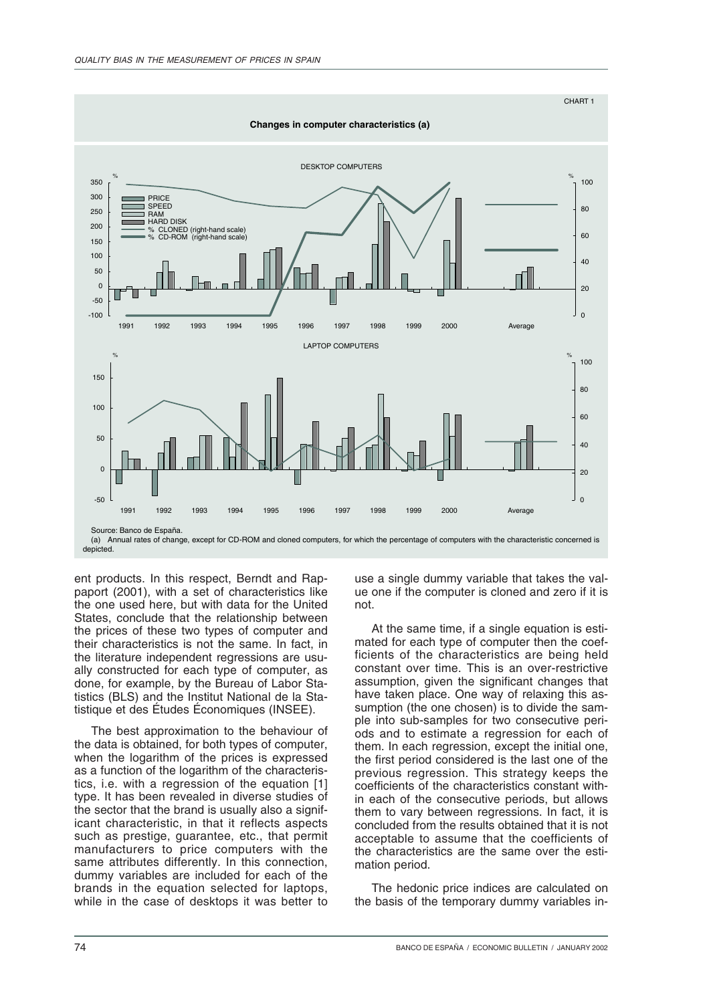

(a) Annual rates of change, except for CD-ROM and cloned computers, for which the percentage of computers with the characteristic concerned is depicted.

ent products. In this respect, Berndt and Rappaport (2001), with a set of characteristics like the one used here, but with data for the United States, conclude that the relationship between the prices of these two types of computer and their characteristics is not the same. In fact, in the literature independent regressions are usually constructed for each type of computer, as done, for example, by the Bureau of Labor Statistics (BLS) and the Institut National de la Statistique et des Études Économiques (INSEE).

The best approximation to the behaviour of the data is obtained, for both types of computer, when the logarithm of the prices is expressed as a function of the logarithm of the characteristics, i.e. with a regression of the equation [1] type. It has been revealed in diverse studies of the sector that the brand is usually also a significant characteristic, in that it reflects aspects such as prestige, guarantee, etc., that permit manufacturers to price computers with the same attributes differently. In this connection, dummy variables are included for each of the brands in the equation selected for laptops, while in the case of desktops it was better to

use a single dummy variable that takes the value one if the computer is cloned and zero if it is not.

At the same time, if a single equation is estimated for each type of computer then the coefficients of the characteristics are being held constant over time. This is an over-restrictive assumption, given the significant changes that have taken place. One way of relaxing this assumption (the one chosen) is to divide the sample into sub-samples for two consecutive periods and to estimate a regression for each of them. In each regression, except the initial one, the first period considered is the last one of the previous regression. This strategy keeps the coefficients of the characteristics constant within each of the consecutive periods, but allows them to vary between regressions. In fact, it is concluded from the results obtained that it is not acceptable to assume that the coefficients of the characteristics are the same over the estimation period.

The hedonic price indices are calculated on the basis of the temporary dummy variables in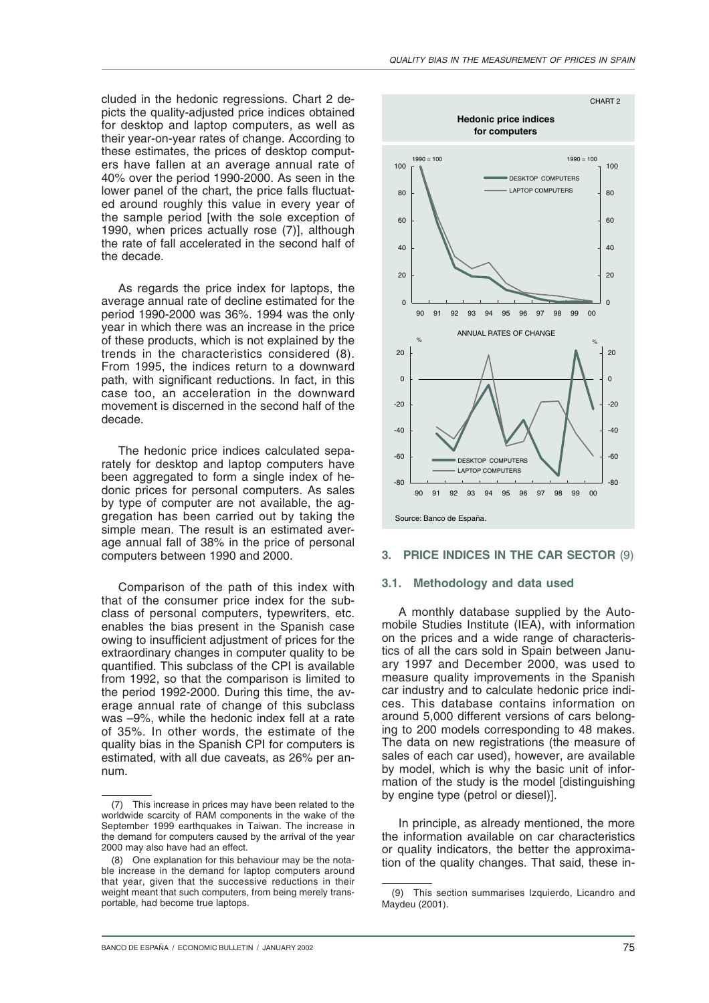cluded in the hedonic regressions. Chart 2 depicts the quality-adjusted price indices obtained for desktop and laptop computers, as well as their year-on-year rates of change. According to these estimates, the prices of desktop computers have fallen at an average annual rate of 40% over the period 1990-2000. As seen in the lower panel of the chart, the price falls fluctuated around roughly this value in every year of the sample period [with the sole exception of 1990, when prices actually rose (7)], although the rate of fall accelerated in the second half of the decade.

As regards the price index for laptops, the average annual rate of decline estimated for the period 1990-2000 was 36%. 1994 was the only year in which there was an increase in the price of these products, which is not explained by the trends in the characteristics considered (8). From 1995, the indices return to a downward path, with significant reductions. In fact, in this case too, an acceleration in the downward movement is discerned in the second half of the decade.

The hedonic price indices calculated separately for desktop and laptop computers have been aggregated to form a single index of hedonic prices for personal computers. As sales by type of computer are not available, the aggregation has been carried out by taking the simple mean. The result is an estimated average annual fall of 38% in the price of personal computers between 1990 and 2000.

Comparison of the path of this index with that of the consumer price index for the subclass of personal computers, typewriters, etc. enables the bias present in the Spanish case owing to insufficient adjustment of prices for the extraordinary changes in computer quality to be quantified. This subclass of the CPI is available from 1992, so that the comparison is limited to the period 1992-2000. During this time, the average annual rate of change of this subclass was –9%, while the hedonic index fell at a rate of 35%. In other words, the estimate of the quality bias in the Spanish CPI for computers is estimated, with all due caveats, as 26% per annum.



## **3. PRICE INDICES IN THE CAR SECTOR** (9)

#### **3.1. Methodology and data used**

A monthly database supplied by the Automobile Studies Institute (IEA), with information on the prices and a wide range of characteristics of all the cars sold in Spain between January 1997 and December 2000, was used to measure quality improvements in the Spanish car industry and to calculate hedonic price indices. This database contains information on around 5,000 different versions of cars belonging to 200 models corresponding to 48 makes. The data on new registrations (the measure of sales of each car used), however, are available by model, which is why the basic unit of information of the study is the model [distinguishing by engine type (petrol or diesel)].

In principle, as already mentioned, the more the information available on car characteristics or quality indicators, the better the approximation of the quality changes. That said, these in-

<sup>(7)</sup> This increase in prices may have been related to the worldwide scarcity of RAM components in the wake of the September 1999 earthquakes in Taiwan. The increase in the demand for computers caused by the arrival of the year 2000 may also have had an effect.

<sup>(8)</sup> One explanation for this behaviour may be the notable increase in the demand for laptop computers around that year, given that the successive reductions in their weight meant that such computers, from being merely transportable, had become true laptops.

<sup>(9)</sup> This section summarises Izquierdo, Licandro and Maydeu (2001).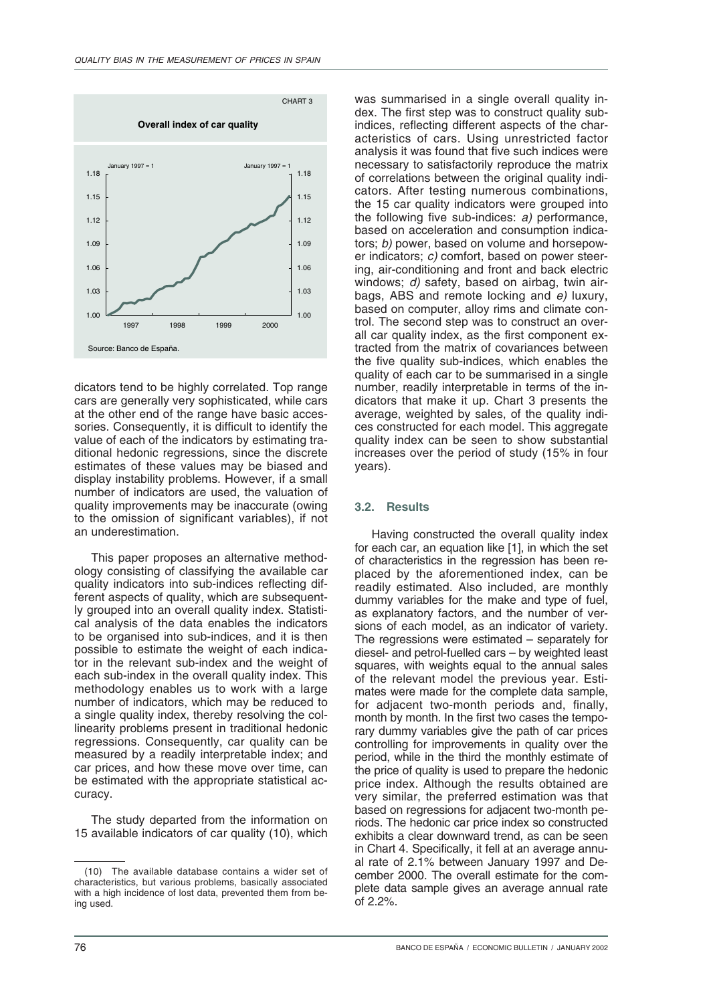

dicators tend to be highly correlated. Top range cars are generally very sophisticated, while cars at the other end of the range have basic accessories. Consequently, it is difficult to identify the value of each of the indicators by estimating traditional hedonic regressions, since the discrete estimates of these values may be biased and display instability problems. However, if a small number of indicators are used, the valuation of quality improvements may be inaccurate (owing to the omission of significant variables), if not an underestimation.

This paper proposes an alternative methodology consisting of classifying the available car quality indicators into sub-indices reflecting different aspects of quality, which are subsequently grouped into an overall quality index. Statistical analysis of the data enables the indicators to be organised into sub-indices, and it is then possible to estimate the weight of each indicator in the relevant sub-index and the weight of each sub-index in the overall quality index. This methodology enables us to work with a large number of indicators, which may be reduced to a single quality index, thereby resolving the collinearity problems present in traditional hedonic regressions. Consequently, car quality can be measured by a readily interpretable index; and car prices, and how these move over time, can be estimated with the appropriate statistical accuracy.

The study departed from the information on 15 available indicators of car quality (10), which was summarised in a single overall quality index. The first step was to construct quality subindices, reflecting different aspects of the characteristics of cars. Using unrestricted factor analysis it was found that five such indices were necessary to satisfactorily reproduce the matrix of correlations between the original quality indicators. After testing numerous combinations, the 15 car quality indicators were grouped into the following five sub-indices: a) performance, based on acceleration and consumption indicators; b) power, based on volume and horsepower indicators; c) comfort, based on power steering, air-conditioning and front and back electric windows; d) safety, based on airbag, twin airbags, ABS and remote locking and e) luxury, based on computer, alloy rims and climate control. The second step was to construct an overall car quality index, as the first component extracted from the matrix of covariances between the five quality sub-indices, which enables the quality of each car to be summarised in a single number, readily interpretable in terms of the indicators that make it up. Chart 3 presents the average, weighted by sales, of the quality indices constructed for each model. This aggregate quality index can be seen to show substantial increases over the period of study (15% in four years).

### **3.2. Results**

Having constructed the overall quality index for each car, an equation like [1], in which the set of characteristics in the regression has been replaced by the aforementioned index, can be readily estimated. Also included, are monthly dummy variables for the make and type of fuel, as explanatory factors, and the number of versions of each model, as an indicator of variety. The regressions were estimated – separately for diesel- and petrol-fuelled cars – by weighted least squares, with weights equal to the annual sales of the relevant model the previous year. Estimates were made for the complete data sample, for adjacent two-month periods and, finally, month by month. In the first two cases the temporary dummy variables give the path of car prices controlling for improvements in quality over the period, while in the third the monthly estimate of the price of quality is used to prepare the hedonic price index. Although the results obtained are very similar, the preferred estimation was that based on regressions for adjacent two-month periods. The hedonic car price index so constructed exhibits a clear downward trend, as can be seen in Chart 4. Specifically, it fell at an average annual rate of 2.1% between January 1997 and December 2000. The overall estimate for the complete data sample gives an average annual rate of 2.2%.

<sup>(10)</sup> The available database contains a wider set of characteristics, but various problems, basically associated with a high incidence of lost data, prevented them from being used.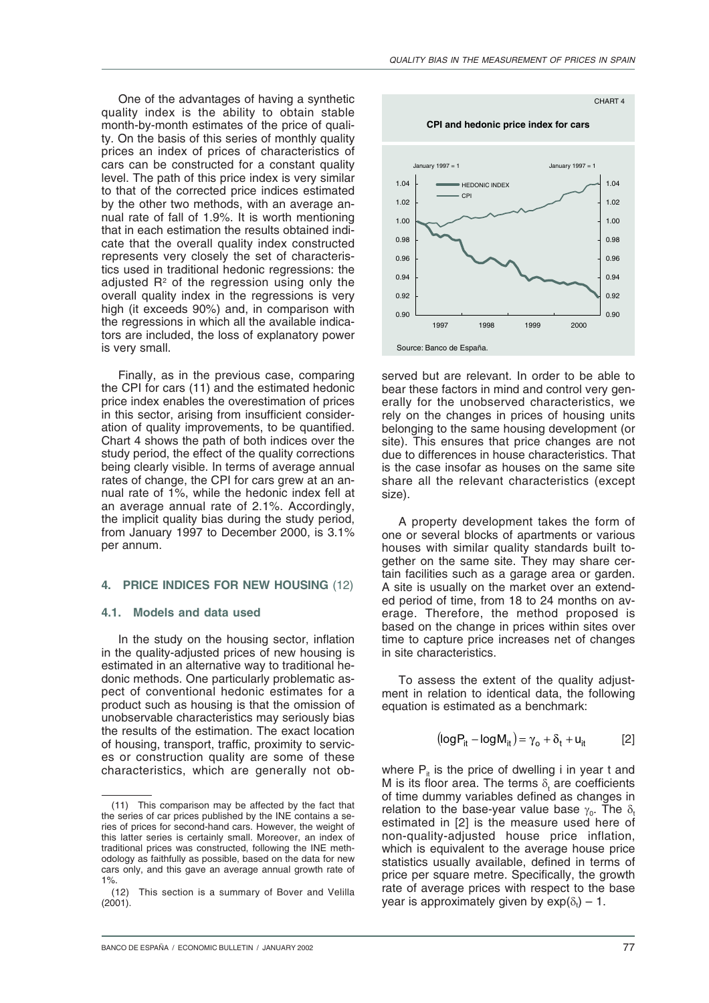CHART 4

One of the advantages of having a synthetic quality index is the ability to obtain stable month-by-month estimates of the price of quality. On the basis of this series of monthly quality prices an index of prices of characteristics of cars can be constructed for a constant quality level. The path of this price index is very similar to that of the corrected price indices estimated by the other two methods, with an average annual rate of fall of 1.9%. It is worth mentioning that in each estimation the results obtained indicate that the overall quality index constructed represents very closely the set of characteristics used in traditional hedonic regressions: the adjusted  $R<sup>2</sup>$  of the regression using only the overall quality index in the regressions is very high (it exceeds 90%) and, in comparison with the regressions in which all the available indicators are included, the loss of explanatory power is very small.

Finally, as in the previous case, comparing the CPI for cars (11) and the estimated hedonic price index enables the overestimation of prices in this sector, arising from insufficient consideration of quality improvements, to be quantified. Chart 4 shows the path of both indices over the study period, the effect of the quality corrections being clearly visible. In terms of average annual rates of change, the CPI for cars grew at an annual rate of 1%, while the hedonic index fell at an average annual rate of 2.1%. Accordingly, the implicit quality bias during the study period, from January 1997 to December 2000, is 3.1% per annum.

### **PRICE INDICES FOR NEW HOUSING (12)**

### **4.1. Models and data used**

In the study on the housing sector, inflation in the quality-adjusted prices of new housing is estimated in an alternative way to traditional hedonic methods. One particularly problematic aspect of conventional hedonic estimates for a product such as housing is that the omission of unobservable characteristics may seriously bias the results of the estimation. The exact location of housing, transport, traffic, proximity to services or construction quality are some of these characteristics, which are generally not ob-





served but are relevant. In order to be able to bear these factors in mind and control very generally for the unobserved characteristics, we rely on the changes in prices of housing units belonging to the same housing development (or site). This ensures that price changes are not due to differences in house characteristics. That is the case insofar as houses on the same site share all the relevant characteristics (except size).

A property development takes the form of one or several blocks of apartments or various houses with similar quality standards built together on the same site. They may share certain facilities such as a garage area or garden. A site is usually on the market over an extended period of time, from 18 to 24 months on average. Therefore, the method proposed is based on the change in prices within sites over time to capture price increases net of changes in site characteristics.

To assess the extent of the quality adjustment in relation to identical data, the following equation is estimated as a benchmark:

$$
(\log P_{it} - \log M_{it}) = \gamma_o + \delta_t + u_{it} \tag{2}
$$

where  $P_{it}$  is the price of dwelling i in year t and M is its floor area. The terms  $\delta_{\rm t}$  are coefficients of time dummy variables defined as changes in relation to the base-year value base  $\gamma_{0}$ . The  $\delta_{\rm t}$ estimated in [2] is the measure used here of non-quality-adjusted house price inflation, which is equivalent to the average house price statistics usually available, defined in terms of price per square metre. Specifically, the growth rate of average prices with respect to the base year is approximately given by  $\exp(\delta_{\rm t})$  – 1.

<sup>(11)</sup> This comparison may be affected by the fact that the series of car prices published by the INE contains a series of prices for second-hand cars. However, the weight of this latter series is certainly small. Moreover, an index of traditional prices was constructed, following the INE methodology as faithfully as possible, based on the data for new cars only, and this gave an average annual growth rate of 1%.

<sup>(12)</sup> This section is a summary of Bover and Velilla  $(2001)$ .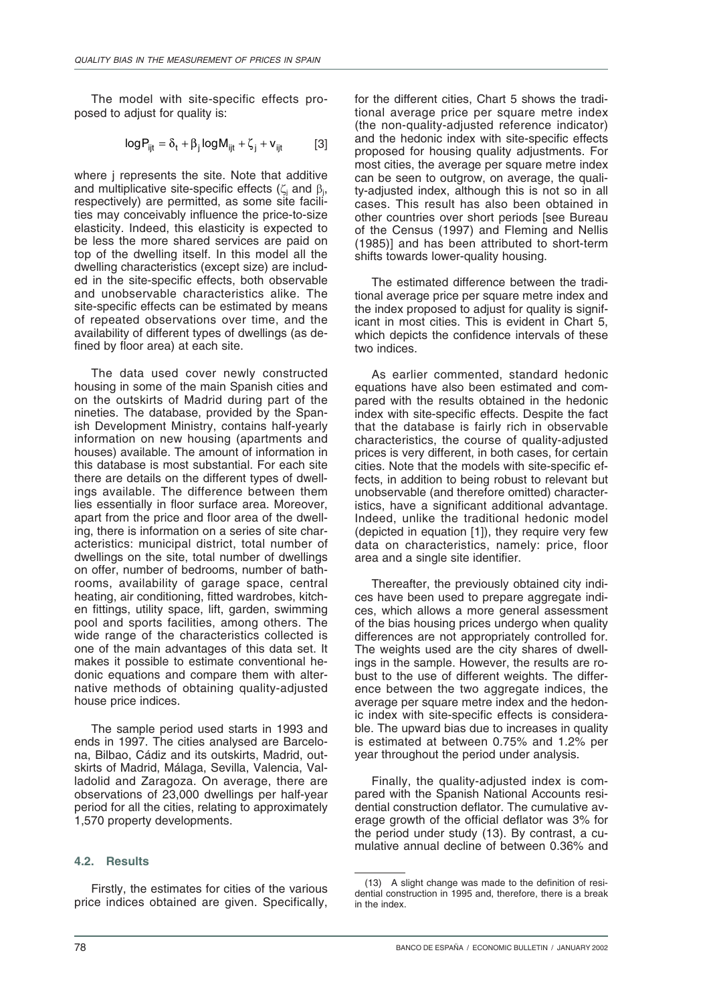The model with site-specific effects proposed to adjust for quality is:

$$
log P_{ijt} = \delta_t + \beta_j log M_{ijt} + \zeta_j + v_{ijt}
$$
 [3]

where j represents the site. Note that additive and multiplicative site-specific effects ( $\zeta_{\rm j}$  and  $\beta_{\rm j}$ , respectively) are permitted, as some site facilities may conceivably influence the price-to-size elasticity. Indeed, this elasticity is expected to be less the more shared services are paid on top of the dwelling itself. In this model all the dwelling characteristics (except size) are included in the site-specific effects, both observable and unobservable characteristics alike. The site-specific effects can be estimated by means of repeated observations over time, and the availability of different types of dwellings (as defined by floor area) at each site.

The data used cover newly constructed housing in some of the main Spanish cities and on the outskirts of Madrid during part of the nineties. The database, provided by the Spanish Development Ministry, contains half-yearly information on new housing (apartments and houses) available. The amount of information in this database is most substantial. For each site there are details on the different types of dwellings available. The difference between them lies essentially in floor surface area. Moreover, apart from the price and floor area of the dwelling, there is information on a series of site characteristics: municipal district, total number of dwellings on the site, total number of dwellings on offer, number of bedrooms, number of bathrooms, availability of garage space, central heating, air conditioning, fitted wardrobes, kitchen fittings, utility space, lift, garden, swimming pool and sports facilities, among others. The wide range of the characteristics collected is one of the main advantages of this data set. It makes it possible to estimate conventional hedonic equations and compare them with alternative methods of obtaining quality-adjusted house price indices.

The sample period used starts in 1993 and ends in 1997. The cities analysed are Barcelona, Bilbao, Cádiz and its outskirts, Madrid, outskirts of Madrid, Málaga, Sevilla, Valencia, Valladolid and Zaragoza. On average, there are observations of 23,000 dwellings per half-year period for all the cities, relating to approximately 1,570 property developments.

# **4.2. Results**

Firstly, the estimates for cities of the various price indices obtained are given. Specifically,

for the different cities, Chart 5 shows the traditional average price per square metre index (the non-quality-adjusted reference indicator) and the hedonic index with site-specific effects proposed for housing quality adjustments. For most cities, the average per square metre index can be seen to outgrow, on average, the quality-adjusted index, although this is not so in all cases. This result has also been obtained in other countries over short periods [see Bureau of the Census (1997) and Fleming and Nellis (1985)] and has been attributed to short-term shifts towards lower-quality housing.

The estimated difference between the traditional average price per square metre index and the index proposed to adjust for quality is significant in most cities. This is evident in Chart 5, which depicts the confidence intervals of these two indices.

As earlier commented, standard hedonic equations have also been estimated and compared with the results obtained in the hedonic index with site-specific effects. Despite the fact that the database is fairly rich in observable characteristics, the course of quality-adjusted prices is very different, in both cases, for certain cities. Note that the models with site-specific effects, in addition to being robust to relevant but unobservable (and therefore omitted) characteristics, have a significant additional advantage. Indeed, unlike the traditional hedonic model (depicted in equation [1]), they require very few data on characteristics, namely: price, floor area and a single site identifier.

Thereafter, the previously obtained city indices have been used to prepare aggregate indices, which allows a more general assessment of the bias housing prices undergo when quality differences are not appropriately controlled for. The weights used are the city shares of dwellings in the sample. However, the results are robust to the use of different weights. The difference between the two aggregate indices, the average per square metre index and the hedonic index with site-specific effects is considerable. The upward bias due to increases in quality is estimated at between 0.75% and 1.2% per year throughout the period under analysis.

Finally, the quality-adjusted index is compared with the Spanish National Accounts residential construction deflator. The cumulative average growth of the official deflator was 3% for the period under study (13). By contrast, a cumulative annual decline of between 0.36% and

<sup>(13)</sup> A slight change was made to the definition of residential construction in 1995 and, therefore, there is a break in the index.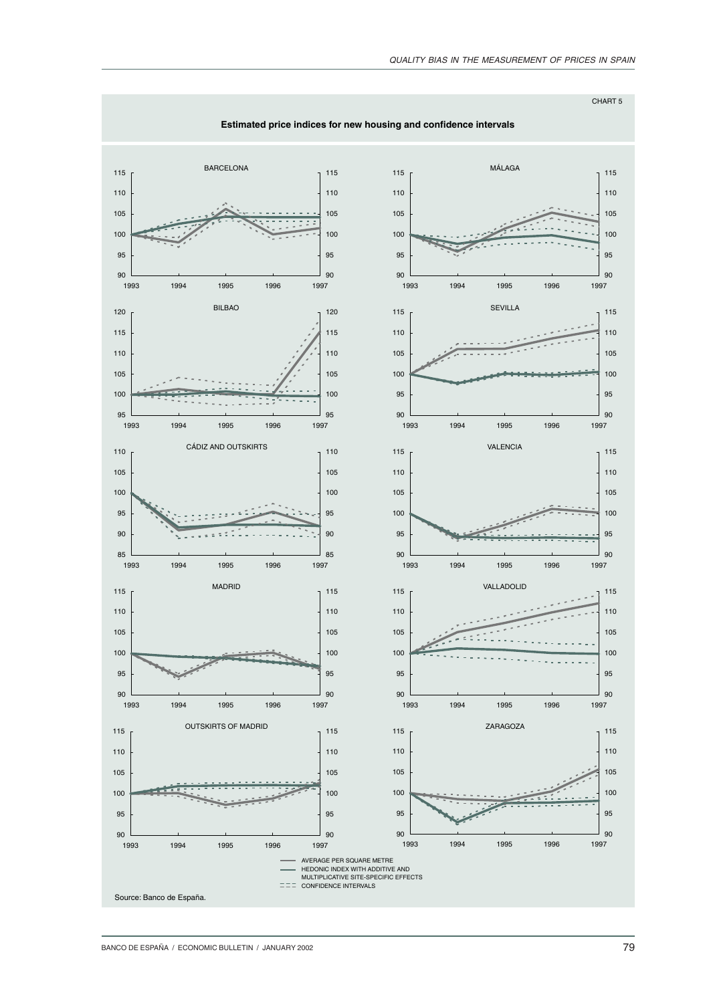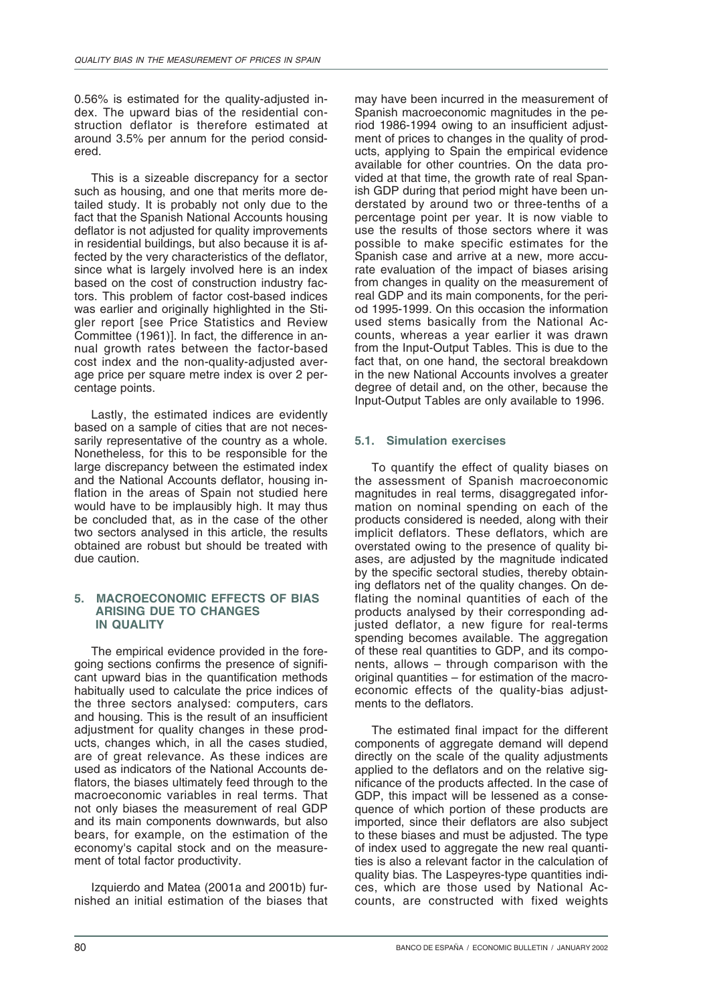0.56% is estimated for the quality-adjusted index. The upward bias of the residential construction deflator is therefore estimated at around 3.5% per annum for the period considered.

This is a sizeable discrepancy for a sector such as housing, and one that merits more detailed study. It is probably not only due to the fact that the Spanish National Accounts housing deflator is not adjusted for quality improvements in residential buildings, but also because it is affected by the very characteristics of the deflator, since what is largely involved here is an index based on the cost of construction industry factors. This problem of factor cost-based indices was earlier and originally highlighted in the Stigler report [see Price Statistics and Review Committee (1961)]. In fact, the difference in annual growth rates between the factor-based cost index and the non-quality-adjusted average price per square metre index is over 2 percentage points.

Lastly, the estimated indices are evidently based on a sample of cities that are not necessarily representative of the country as a whole. Nonetheless, for this to be responsible for the large discrepancy between the estimated index and the National Accounts deflator, housing inflation in the areas of Spain not studied here would have to be implausibly high. It may thus be concluded that, as in the case of the other two sectors analysed in this article, the results obtained are robust but should be treated with due caution.

## **5. MACROECONOMIC EFFECTS OF BIAS ARISING DUE TO CHANGES IN QUALITY**

The empirical evidence provided in the foregoing sections confirms the presence of significant upward bias in the quantification methods habitually used to calculate the price indices of the three sectors analysed: computers, cars and housing. This is the result of an insufficient adjustment for quality changes in these products, changes which, in all the cases studied, are of great relevance. As these indices are used as indicators of the National Accounts deflators, the biases ultimately feed through to the macroeconomic variables in real terms. That not only biases the measurement of real GDP and its main components downwards, but also bears, for example, on the estimation of the economy's capital stock and on the measurement of total factor productivity.

Izquierdo and Matea (2001a and 2001b) furnished an initial estimation of the biases that may have been incurred in the measurement of Spanish macroeconomic magnitudes in the period 1986-1994 owing to an insufficient adjustment of prices to changes in the quality of products, applying to Spain the empirical evidence available for other countries. On the data provided at that time, the growth rate of real Spanish GDP during that period might have been understated by around two or three-tenths of a percentage point per year. It is now viable to use the results of those sectors where it was possible to make specific estimates for the Spanish case and arrive at a new, more accurate evaluation of the impact of biases arising from changes in quality on the measurement of real GDP and its main components, for the period 1995-1999. On this occasion the information used stems basically from the National Accounts, whereas a year earlier it was drawn from the Input-Output Tables. This is due to the fact that, on one hand, the sectoral breakdown in the new National Accounts involves a greater degree of detail and, on the other, because the Input-Output Tables are only available to 1996.

# **5.1. Simulation exercises**

To quantify the effect of quality biases on the assessment of Spanish macroeconomic magnitudes in real terms, disaggregated information on nominal spending on each of the products considered is needed, along with their implicit deflators. These deflators, which are overstated owing to the presence of quality biases, are adjusted by the magnitude indicated by the specific sectoral studies, thereby obtaining deflators net of the quality changes. On deflating the nominal quantities of each of the products analysed by their corresponding adjusted deflator, a new figure for real-terms spending becomes available. The aggregation of these real quantities to GDP, and its components, allows – through comparison with the original quantities – for estimation of the macroeconomic effects of the quality-bias adjustments to the deflators.

The estimated final impact for the different components of aggregate demand will depend directly on the scale of the quality adjustments applied to the deflators and on the relative significance of the products affected. In the case of GDP, this impact will be lessened as a consequence of which portion of these products are imported, since their deflators are also subject to these biases and must be adjusted. The type of index used to aggregate the new real quantities is also a relevant factor in the calculation of quality bias. The Laspeyres-type quantities indices, which are those used by National Accounts, are constructed with fixed weights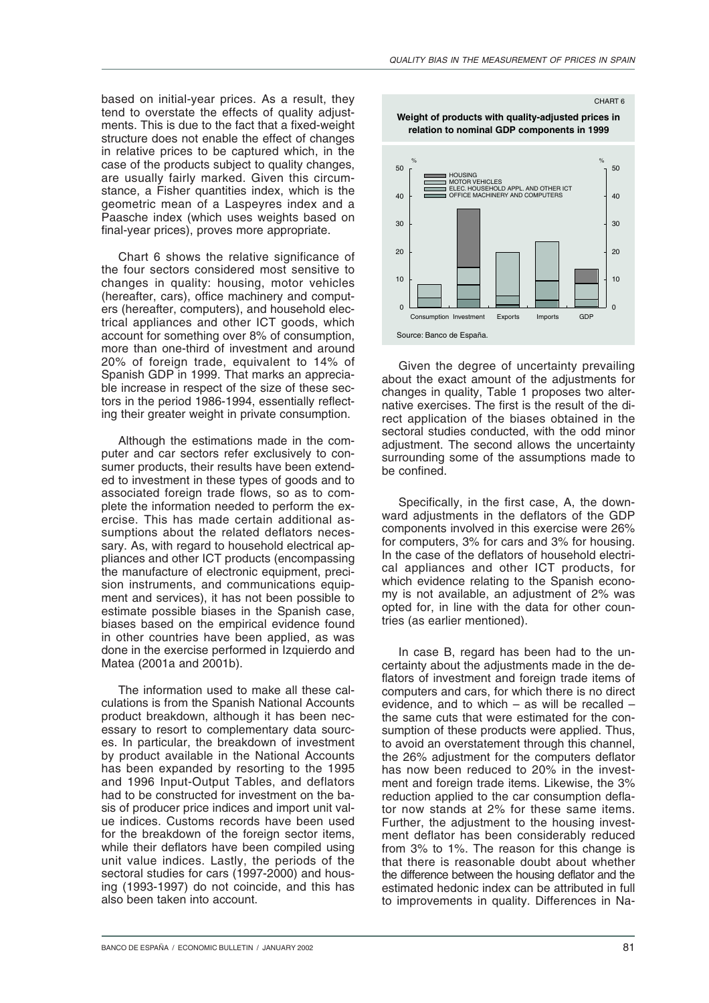based on initial-year prices. As a result, they tend to overstate the effects of quality adjustments. This is due to the fact that a fixed-weight structure does not enable the effect of changes in relative prices to be captured which, in the case of the products subject to quality changes, are usually fairly marked. Given this circumstance, a Fisher quantities index, which is the geometric mean of a Laspeyres index and a Paasche index (which uses weights based on final-year prices), proves more appropriate.

Chart 6 shows the relative significance of the four sectors considered most sensitive to changes in quality: housing, motor vehicles (hereafter, cars), office machinery and computers (hereafter, computers), and household electrical appliances and other ICT goods, which account for something over 8% of consumption, more than one-third of investment and around 20% of foreign trade, equivalent to 14% of Spanish GDP in 1999. That marks an appreciable increase in respect of the size of these sectors in the period 1986-1994, essentially reflecting their greater weight in private consumption.

Although the estimations made in the computer and car sectors refer exclusively to consumer products, their results have been extended to investment in these types of goods and to associated foreign trade flows, so as to complete the information needed to perform the exercise. This has made certain additional assumptions about the related deflators necessary. As, with regard to household electrical appliances and other ICT products (encompassing the manufacture of electronic equipment, precision instruments, and communications equipment and services), it has not been possible to estimate possible biases in the Spanish case, biases based on the empirical evidence found in other countries have been applied, as was done in the exercise performed in Izquierdo and Matea (2001a and 2001b).

The information used to make all these calculations is from the Spanish National Accounts product breakdown, although it has been necessary to resort to complementary data sources. In particular, the breakdown of investment by product available in the National Accounts has been expanded by resorting to the 1995 and 1996 Input-Output Tables, and deflators had to be constructed for investment on the basis of producer price indices and import unit value indices. Customs records have been used for the breakdown of the foreign sector items, while their deflators have been compiled using unit value indices. Lastly, the periods of the sectoral studies for cars (1997-2000) and housing (1993-1997) do not coincide, and this has also been taken into account.



CHART 6



Given the degree of uncertainty prevailing about the exact amount of the adjustments for changes in quality, Table 1 proposes two alternative exercises. The first is the result of the direct application of the biases obtained in the sectoral studies conducted, with the odd minor adjustment. The second allows the uncertainty surrounding some of the assumptions made to be confined.

Specifically, in the first case, A, the downward adjustments in the deflators of the GDP components involved in this exercise were 26% for computers, 3% for cars and 3% for housing. In the case of the deflators of household electrical appliances and other ICT products, for which evidence relating to the Spanish economy is not available, an adjustment of 2% was opted for, in line with the data for other countries (as earlier mentioned).

In case B, regard has been had to the uncertainty about the adjustments made in the deflators of investment and foreign trade items of computers and cars, for which there is no direct evidence, and to which – as will be recalled – the same cuts that were estimated for the consumption of these products were applied. Thus, to avoid an overstatement through this channel, the 26% adjustment for the computers deflator has now been reduced to 20% in the investment and foreign trade items. Likewise, the 3% reduction applied to the car consumption deflator now stands at 2% for these same items. Further, the adjustment to the housing investment deflator has been considerably reduced from 3% to 1%. The reason for this change is that there is reasonable doubt about whether the difference between the housing deflator and the estimated hedonic index can be attributed in full to improvements in quality. Differences in Na-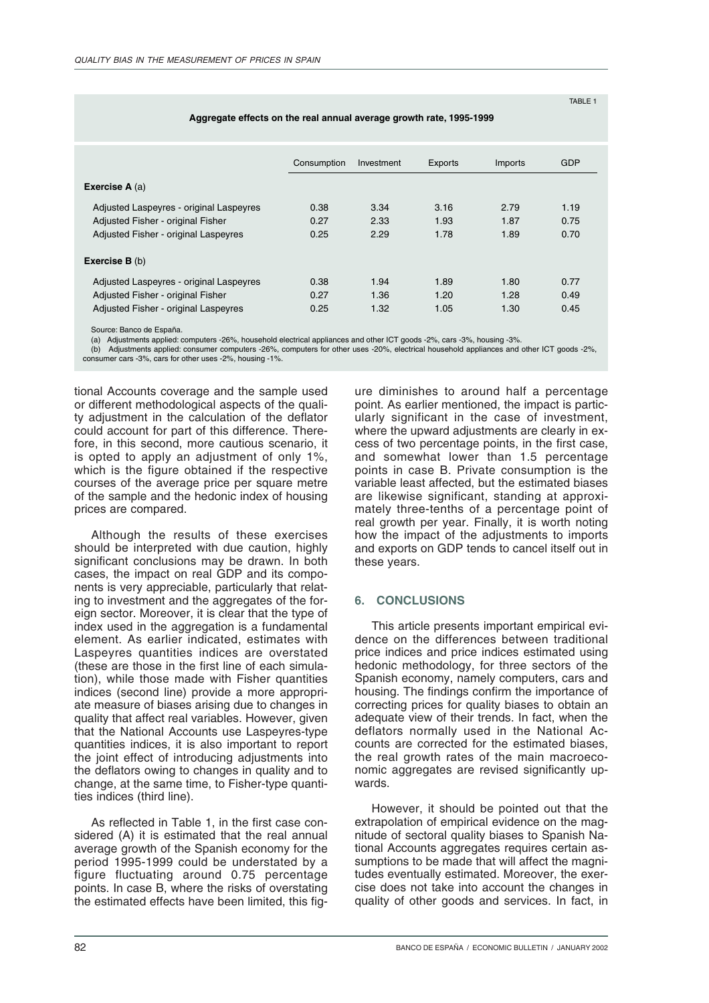|                                             | Consumption | Investment | Exports | Imports | <b>GDP</b> |
|---------------------------------------------|-------------|------------|---------|---------|------------|
| <b>Exercise A</b> $(a)$                     |             |            |         |         |            |
| Adjusted Laspeyres - original Laspeyres     | 0.38        | 3.34       | 3.16    | 2.79    | 1.19       |
| Adjusted Fisher - original Fisher           | 0.27        | 2.33       | 1.93    | 1.87    | 0.75       |
| Adjusted Fisher - original Laspeyres        | 0.25        | 2.29       | 1.78    | 1.89    | 0.70       |
| Exercise $B(b)$                             |             |            |         |         |            |
| Adjusted Laspeyres - original Laspeyres     | 0.38        | 1.94       | 1.89    | 1.80    | 0.77       |
| Adjusted Fisher - original Fisher           | 0.27        | 1.36       | 1.20    | 1.28    | 0.49       |
| <b>Adjusted Fisher - original Laspeyres</b> | 0.25        | 1.32       | 1.05    | 1.30    | 0.45       |

**Aggregate effects on the real annual average growth rate, 1995-1999**

Source: Banco de España.

(a) Adjustments applied: computers -26%, household electrical appliances and other ICT goods -2%, cars -3%, housing -3%.

(b) Adjustments applied: consumer computers -26%, computers for other uses -20%, electrical household appliances and other ICT goods -2%, consumer cars -3%, cars for other uses -2%, housing -1%.

tional Accounts coverage and the sample used or different methodological aspects of the quality adjustment in the calculation of the deflator could account for part of this difference. Therefore, in this second, more cautious scenario, it is opted to apply an adjustment of only 1%, which is the figure obtained if the respective courses of the average price per square metre of the sample and the hedonic index of housing prices are compared.

Although the results of these exercises should be interpreted with due caution, highly significant conclusions may be drawn. In both cases, the impact on real GDP and its components is very appreciable, particularly that relating to investment and the aggregates of the foreign sector. Moreover, it is clear that the type of index used in the aggregation is a fundamental element. As earlier indicated, estimates with Laspeyres quantities indices are overstated (these are those in the first line of each simulation), while those made with Fisher quantities indices (second line) provide a more appropriate measure of biases arising due to changes in quality that affect real variables. However, given that the National Accounts use Laspeyres-type quantities indices, it is also important to report the joint effect of introducing adjustments into the deflators owing to changes in quality and to change, at the same time, to Fisher-type quantities indices (third line).

As reflected in Table 1, in the first case considered (A) it is estimated that the real annual average growth of the Spanish economy for the period 1995-1999 could be understated by a figure fluctuating around 0.75 percentage points. In case B, where the risks of overstating the estimated effects have been limited, this figure diminishes to around half a percentage point. As earlier mentioned, the impact is particularly significant in the case of investment, where the upward adjustments are clearly in excess of two percentage points, in the first case, and somewhat lower than 1.5 percentage points in case B. Private consumption is the variable least affected, but the estimated biases are likewise significant, standing at approximately three-tenths of a percentage point of real growth per year. Finally, it is worth noting how the impact of the adjustments to imports and exports on GDP tends to cancel itself out in these years.

TABLE 1

## **6. CONCLUSIONS**

This article presents important empirical evidence on the differences between traditional price indices and price indices estimated using hedonic methodology, for three sectors of the Spanish economy, namely computers, cars and housing. The findings confirm the importance of correcting prices for quality biases to obtain an adequate view of their trends. In fact, when the deflators normally used in the National Accounts are corrected for the estimated biases, the real growth rates of the main macroeconomic aggregates are revised significantly upwards.

However, it should be pointed out that the extrapolation of empirical evidence on the magnitude of sectoral quality biases to Spanish National Accounts aggregates requires certain assumptions to be made that will affect the magnitudes eventually estimated. Moreover, the exercise does not take into account the changes in quality of other goods and services. In fact, in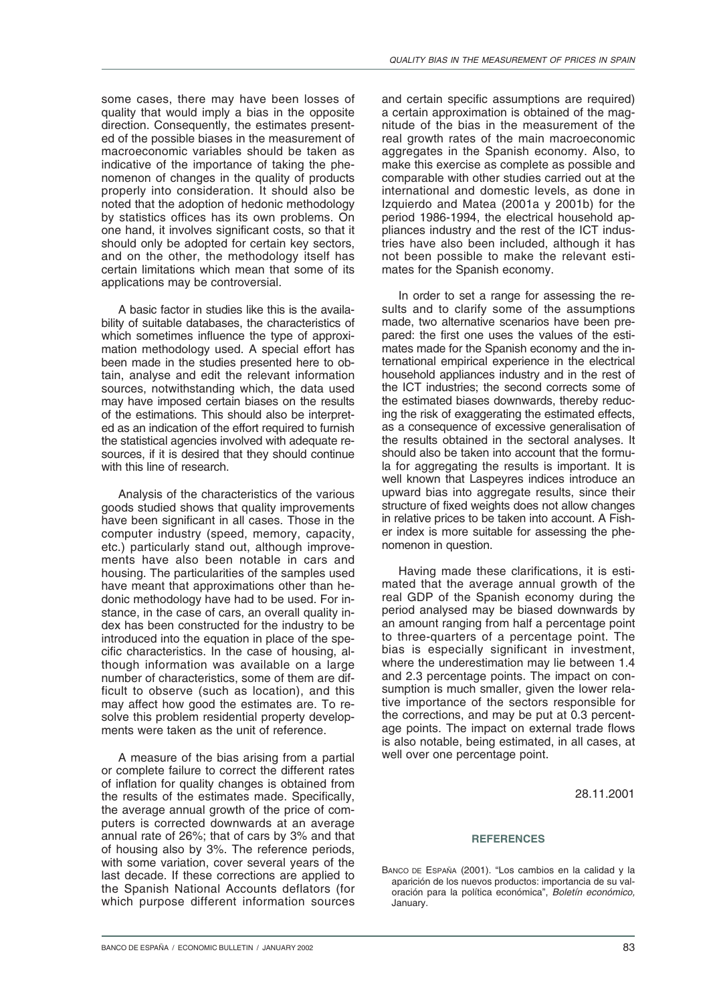some cases, there may have been losses of quality that would imply a bias in the opposite direction. Consequently, the estimates presented of the possible biases in the measurement of macroeconomic variables should be taken as indicative of the importance of taking the phenomenon of changes in the quality of products properly into consideration. It should also be noted that the adoption of hedonic methodology by statistics offices has its own problems. On one hand, it involves significant costs, so that it should only be adopted for certain key sectors, and on the other, the methodology itself has certain limitations which mean that some of its applications may be controversial.

A basic factor in studies like this is the availability of suitable databases, the characteristics of which sometimes influence the type of approximation methodology used. A special effort has been made in the studies presented here to obtain, analyse and edit the relevant information sources, notwithstanding which, the data used may have imposed certain biases on the results of the estimations. This should also be interpreted as an indication of the effort required to furnish the statistical agencies involved with adequate resources, if it is desired that they should continue with this line of research.

Analysis of the characteristics of the various goods studied shows that quality improvements have been significant in all cases. Those in the computer industry (speed, memory, capacity, etc.) particularly stand out, although improvements have also been notable in cars and housing. The particularities of the samples used have meant that approximations other than hedonic methodology have had to be used. For instance, in the case of cars, an overall quality index has been constructed for the industry to be introduced into the equation in place of the specific characteristics. In the case of housing, although information was available on a large number of characteristics, some of them are difficult to observe (such as location), and this may affect how good the estimates are. To resolve this problem residential property developments were taken as the unit of reference.

A measure of the bias arising from a partial or complete failure to correct the different rates of inflation for quality changes is obtained from the results of the estimates made. Specifically, the average annual growth of the price of computers is corrected downwards at an average annual rate of 26%; that of cars by 3% and that of housing also by 3%. The reference periods, with some variation, cover several years of the last decade. If these corrections are applied to the Spanish National Accounts deflators (for which purpose different information sources

and certain specific assumptions are required) a certain approximation is obtained of the magnitude of the bias in the measurement of the real growth rates of the main macroeconomic aggregates in the Spanish economy. Also, to make this exercise as complete as possible and comparable with other studies carried out at the international and domestic levels, as done in Izquierdo and Matea (2001a y 2001b) for the period 1986-1994, the electrical household appliances industry and the rest of the ICT industries have also been included, although it has not been possible to make the relevant estimates for the Spanish economy.

In order to set a range for assessing the results and to clarify some of the assumptions made, two alternative scenarios have been prepared: the first one uses the values of the estimates made for the Spanish economy and the international empirical experience in the electrical household appliances industry and in the rest of the ICT industries; the second corrects some of the estimated biases downwards, thereby reducing the risk of exaggerating the estimated effects, as a consequence of excessive generalisation of the results obtained in the sectoral analyses. It should also be taken into account that the formula for aggregating the results is important. It is well known that Laspeyres indices introduce an upward bias into aggregate results, since their structure of fixed weights does not allow changes in relative prices to be taken into account. A Fisher index is more suitable for assessing the phenomenon in question.

Having made these clarifications, it is estimated that the average annual growth of the real GDP of the Spanish economy during the period analysed may be biased downwards by an amount ranging from half a percentage point to three-quarters of a percentage point. The bias is especially significant in investment, where the underestimation may lie between 1.4 and 2.3 percentage points. The impact on consumption is much smaller, given the lower relative importance of the sectors responsible for the corrections, and may be put at 0.3 percentage points. The impact on external trade flows is also notable, being estimated, in all cases, at well over one percentage point.

28.11.2001

### **REFERENCES**

BANCO DE ESPAÑA (2001). "Los cambios en la calidad y la aparición de los nuevos productos: importancia de su valoración para la política económica", Boletín económico, January.